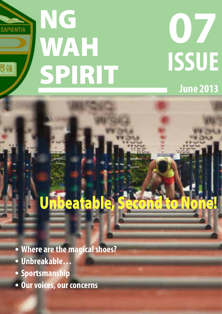

# **June 2013 07**

# Unbeatable, Seco

- **Where are the magical shoes?**
- **Unbreakable…**
- **Sportsmanship**
- **Our voices, our concerns**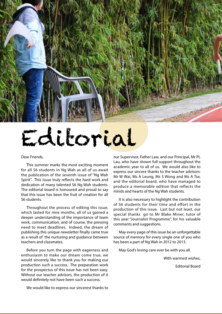# Editorial

#### Dear Friends,

This summer marks the most exciting moment for all S6 students in Ng Wah as all of us await the publication of the seventh issue of "Ng Wah Spirit". This issue truly reflects the hard work and dedication of many talented S6 Ng Wah students. The editorial board is honoured and proud to say that this issue has been the fruit of creation for all S6 students.

Throughout the process of editing this issue, which lasted for nine months, all of us gained a deeper understanding of the importance of team work, communication, and of course, the pressing need to meet deadlines. Indeed, the dream of publishing this unique newsletter finally came true as a result of the nurturing and guidance between teachers and classmates.

Before you turn the page with eagerness and enthusiasm to make our dream come true, we would sincerely like to thank you for making our production such a success. The preparation work for the prospectus of this issue has not been easy. Without our teacher advisors, the production of it would definitely not have been such a success.

our Supervisor, Father Law, and our Principal, Mr PL Lau, who have shown full support throughout the academic year to all of us. We would also like to express our sincere thanks to the teacher advisors: Mr W Wai, Ms A Leung, Ms S Wong and Ms A Tse, and the editorial board, who have managed to produce a memorable edition that reflects the minds and hearts of the Ng Wah students.

It is also necessary to highlight the contribution of S6 students for their time and effort in the production of this issue. Last but not least, our special thanks go to Mr Blake Miner, tutor of this year "Journalist Programme", for his valuable comments and suggestions.

May every page of this issue be an unforgettable source of memory for every single one of you who has been a part of Ng Wah in 2012 to 2013.

May God's loving care ever be with you all.

With warmest wishes,

Editorial Board

We would like to express our sincerest thanks to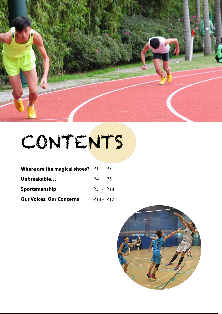

# CONTENTS

| <b>Where are the magical shoes?</b> $P.1 - P.3$ |               |
|-------------------------------------------------|---------------|
| Unbreakable                                     | P4 - P5       |
| Sportsmanship                                   | $P.5 - P.14$  |
| <b>Our Voices, Our Concerns</b>                 | $P.13 - P.17$ |

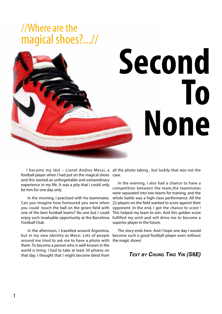### //Where are the magical shoes?...//



football player when I had put on the magical shoes and this started an unforgettable and extraordinary experience in my life. It was a pity that I could only be him for one day only.

 In the morning, I practised with his teammates. Can you imagine how honoured you were when you could touch the ball on the green field with one of the best football teams? No one but I could enjoy such invaluable opportunity at the Barcelona Football Club.

 In the afternoon, I travelled around Argentina, but in my new identity as Messi. Lots of people around me tried to ask me to have a photo with them. To become a person who is well-known in the world is tiring. I had to take at least 50 photos on that day. I thought that I might become blind from

I became my idol - Lionel Andres Messi, a all the photo taking, but luckily that was not the case.

> In the evening, I also had a chance to have a competition between the team,the teammates were separated into two teams for training, and the whole battle was a high-class performance. All the 22 players on the field wanted to score against their opponent. In the end, I got the chance to score ! This helped my team to win. And this golden score fulfilled my wish and will drive me to become a superior player in the future.

> The story ends here. And I hope one day I would become such a good football player even without the magic shoes!

#### *Text by Chung Ting Yin (S6E)*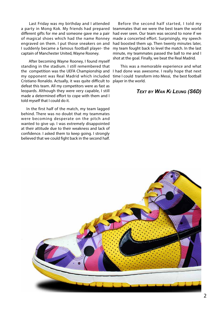Last Friday was my birthday and I attended different gifts for me and someone gave me a pair of magical shoes which had the name Ronney engraved on them. I put those sneakers on and I suddenly became a famous football player- the captain of Manchester United, Wayne Rooney.

 After becoming Wayne Rooney, I found myself standing in the stadium. I still remembered that the competition was the UEFA Championship and my opponent was Real Madrid which included Cristiano Ronaldo. Actually, it was quite difficult to defeat this team. All my competitors were as fast as leopards. Although they were very capable, I still made a determined effort to cope with them and I told myself that I could do it.

In the first half of the match, my team lagged behind. There was no doubt that my teammates were becoming desperate on the pitch and wanted to give up. I was extremely disappointed at their attitude due to their weakness and lack of confidence. I asked them to keep going. I strongly believed that we could fight back in the second half.

a party in Mong Kok. My friends had prepared teammates that we were the best team the world Before the second half started, I told my had ever seen. Our team was second to none if we made a concerted effort. Surprisingly, my speech had boosted them up. Then twenty minutes later, my team fought back to level the match. In the last minute, my teammates passed the ball to me and I shot at the goal. Finally, we beat the Real Madrid.

> This was a memorable experience and what I had done was awesome. I really hope that next time I could transform into Messi, the best football player in the world.

#### *Text by Wan Ki Leung (S6D)*

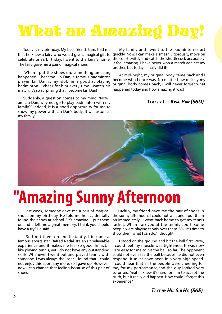### What an Amazing Day!

Today is my birthday. My best friend, Sam, told me that he knew a fairy who would give a magical gift to quickly. Now, I can make a smash vigorously, move on celebrate one's birthday. I went to the fairy's home. the court swiftly and catch the shuttlecock accurately. The fairy gave me a pair of magical shoes.

 When I put the shoes on, something amazing happened. I became Lin Dan, a famous badminton player. Lin Dan is my idol, he is good at playing badminton. I cheer for him every time I watch his match. It's so surprising that I become Lin Dan!

Suddenly, a question comes to my mind. "Now I am Lin Dan, why not go to play badminton with my family?" Indeed, it is a good opportunity for me to show my power with Lin Dan's body. It will astonish my family .

 My family and I went to the badminton court It feel amazing. I have never won a match against my brother, but today I finally did it!

 At mid-night, my original body came back and I become who I once was. No matter how quickly my original body comes back, I will never forget what happened today and how amazing it was!

#### *Text by Lee Kwai Pan (S6D)*



## **''Amazing Sunny Afternoon**

 Last week, someone gave me a pair of magical shoes on my birthday. He told me he accidentally found the shoes at school. "It's amazing. I put them on and it left me a great memory. I think you should have a try." He said.

 So I put them on and instantly, I became a famous sports star. Rafred Nadal. It's an unbelievable experience and it makes me feel so good. In fact, I like playing tennis, yet I do not have any outstanding skills. Whenever I went out and played tennis with someone. I was always the loser. I found that I could not enjoy this sport any more, so I gave up. However, now I can change that feeling because of this pair of shoes.

Luckily, my friend gave me the pair of shoes in the sunny afternoon. I could not wait and I put them on immediately. I went back home to get my tennis racket. When I arrived at the tennis court, some people were playing tennis over there. "Ok, it's time to show them what I can do." I thought.

 I stood on the ground and hit the ball first. Wow, I could feel my muscle was tightened. It was now very easy for me to hit the ball so far. The opponent could not even see the ball because he did not even respond. It must have been in a very high speed. I could hear that all the people were cheering for me, for my performance,and the guy looked very surprised. Yeah, I knew it's hard for him to accept the truth, but it really did happen. How could I forget this experience?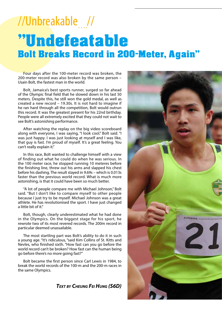### ''Undefeatable Bolt Breaks Record in 200-Meter, Again'' //Unbreakable….//

Four days after the 100-meter record was broken, the 200-meter record was also broken by the same person – Usain Bolt, the fastest man in the world.

Bolt, Jamaica's best sports runner, surged so far ahead of the Olympic final field that he slowed down in his last 50 meters. Despite this, he still won the gold medal, as well as created a new record – 19.30s. It is not hard to imagine if he ran hard through all the competition, Bolt would outrun this record. It was the greatest present for his 22nd birthday. People were all extremely excited that they could not wait to see Bolt's astonishing performance.

After watching the replay on the big video scoreboard along with everyone, I was saying, "I look cool." Bolt said. "I was just happy. I was just looking at myself and I was like, that guy is fast. I'm proud of myself. It's a great feeling. You can't really explain it."

In this race, Bolt wanted to challenge himself with a view of finding out what he could do when he was serious. In the 100 meter race, he stopped running 10 meteres before the finishing line, threw out his arms and slapped his chest before his dashing. The result stayed in 9.69s – which is 0.013s faster than the previous world record. What is much more astonishing, is that it could have been so much better.

"A lot of people compare me with Michael Johnson," Bolt said. "But I don't like to compare myself to other people because I just try to be myself. Michael Johnson was a great athlete. He has revolutionised the sport. I have just changed a little bit of it."

Bolt, though, clearly underestimated what he had done in the Olympics. On the biggest stage for his sport, he rewrote two of its most revered records. The 200m record in particular deemed unassailable.

The most startling part was Bolt's ability to do it in such a young age. "It's ridiculous, "said Kim Collins of St. Kitts and Nevles, who finished sixth. "How fast can you go before the world record can't be broken? How fast can the human being go before there's no more going fast?"

Bolt became the first person since Carl Lewis in 1984, to break the world records of the 100-m and the 200-m races in the same Olympics.

*Text by Cheung Fei Hung (S6D)*

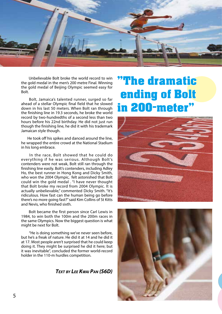

 Unbelievable Bolt broke the world record to win the gold medal in the men's 200 metre Final. Winning the gold medal of Beijing Olympic seemed easy for Bolt.

 Bolt, Jamaica's talented runner, surged so far ahead of a stellar Olympic final field that he slowed down in his last 50 meters. When Bolt ran through the finishing line in 19.3 seconds, he broke the world record by two-hundredths of a second less than two hours before his 22nd birthday. He did not just run though the finishing line, he did it with his trademark Jamaican style though.

 He took off his spikes and danced around the line, he wrapped the entire crowd at the National Stadium in his long embrace.

 In the race, Bolt showed that he could do everything if he was serious. Although Bolt's contenders were not weak, Bolt still ran through the finishing line easily. Bolt's contenders, including Adley Ho, the best runner in Hong Kong and Dicky Smith, who won the 2004 Olympic, felt astonished that Bolt could win the gold medal . "I have never thought that Bolt broke my record from 2004 Olympic. It is actually unbelievable," commented Dicky Smith. "It's ridiculous. How fast can the human being go before there's no more going fast?" said Kim Collins of St Kitts and Nevis, who finished sixth.

 Bolt became the first person since Carl Lewis in 1984, to win both the 100m and the 200m races in the same Olympics. Now the biggest question is what might be next for Bolt.

 "He is doing something we've never seen before, but he's a freak of nature. He did it at 14 and he did it at 17. Most people aren't surprised that he could keep doing it. They might be surprised he did it here; but it was inevitable", concluded the former world-record holder in the 110-m hurdles competition.

*Text by Lee Kwai Pan (S6D)*

### ''The dramatic ending of Bolt in 200-meter''



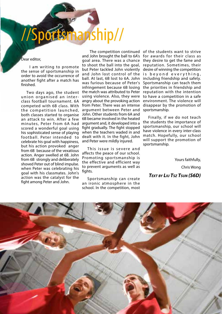# anship//

Dear editor,

 I am writing to promote the sense of sportsmanship in order to avoid the occurrence of another fight after a match has finished.

Two days ago, the student union organised an interclass football tournament. 6A competed with 6B class. With the competition launched, both classes started to organise an attack to win. After a few minutes, Peter from 6A had scored a wonderful goal using his sophisticated sense of playing football. Peter intended to celebrate his goal with happiness, but his action provoked anger from 6B because of the vexatious action. Anger swelled at 6B. John from 6B strongly and deliberately shoved Peter out of blind impulse. when Peter was celebrating his goal with his classmates. John's action was the catalyst for the fight among Peter and John.

and John brought the ball to 6A's for awards for their class as goal area. There was a chance to shoot the ball into the goal, but Peter tackled John violently and John lost control of the is beyond everything, ball. At last, 6B lost to 6A. John including friendship and safety. was furious because of Peter's infringement because 6B losing the match was attributed to Peter using violence. Also, they were angry about the provoking action from Peter. There was an intense argument between Peter and John. Other students from 6A and 6B became involved in the heated argument and, it developed into a fight gradually. The fight stopped when the teachers waded in and dealt with it. In the fight, John and Peter were mildly injured.

This issue is severe and affects the peace of our school. Promoting sportsmanship is the effective and efficient way to prevent arguments as well as fights.

Sportsmanship can create an ironic atmosphere in the school. In the competition, most

 The competition continued of the students want to strive they desire to get the fame and reputation. Sometimes, their desire of winning the competition Sportsmanship can teach them the priorities in friendship and reputation with the intention to have a competition in a safe environment. The violence will disappear by the promotion of sportsmanship.

> Finally, if we do not teach the students the importance of sportsmanship, our school will have violence in every inter-class match. Hopefully, our school will support the promotion of sportsmanship.

> > Yours faithfully, Chris Wong

*Text by Liu Tsz Tsun (S6D)* 

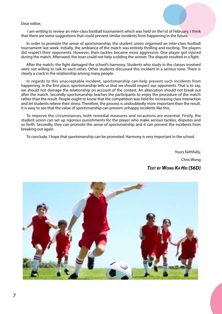I am writing to review an inter-class football tournament which was held on the1st of February. I think that there are some suggestions that could prevent similar incidents from happening in the future.

In order to promote the sense of sportsmanship, the student union organised an inter-class football tournament last week. Initially, the ambiance of the match was entirely thrilling and exciting. The players did respect their opponents. However, their tackles became more aggressive. One player got injured during the match. Afterward, the loser could not help scolding the winner. The dispute resulted in a fight.

After the match, the fight damaged the school's harmony. Students who study in the classes involved were not willing to talk to each other. Other students discussed this incident in a serious tone. There is clearly a crack in the relationship among many people.

In regards to this unacceptable incident, sportsmanship can help prevent such incidents from happening. In the first place, sportsmanship tells us that we should respect our opponents. That is to say, we should not damage the relationship on account of the contest. An altercation should not break out after the match. Secondly sportsmanship teaches the participants to enjoy the procedure of the match rather than the result. People ought to know that the competition was held for increasing class interaction and let students relieve their stress. Therefore, the process is undoubtedly more important than the result. It is easy to see that the value of sportsmanship can prevent unhappy incidents like this.

To improve the circumstances, both remedial measures and recautions are essential. Firstly, the student union can set up rigorous punishments for the player who make serious tackles, disputes and so forth. Secondly, they can promote the sense of sportsmanship and it can prevent the incidents from breaking out again.

To conclude, I hope that sportsmanship can be promoted. Harmony is very important in the school.

Yours faithfully, Chris Wong

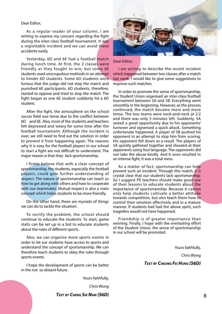As a regular reader of your column, I am writing to express my concern regarding the fight during the inter-class football tournament. It was a regrettable incident and we can avoid these accidents easily.

Yesterday, 6D and 6E had a football match during lunch time. At first, the 2 classes were friendly as they fought to win, but some 6E students used unscrupulous methods in an attempt to hinder 6D students. Some 6D students were furious that the judge did not stop the match and punished 6E participants. 6D students, therefore, started to oppose and tried to stop the match. The fight began as one 6E student suddenly hit a 6D student.

After the fight, the atmosphere on the school soccer field was tense due to the conflict between 6D and 6E. Also, most of the students and teachers felt depressed and weary for some time after the football tournament. Although the incident is over, we still need to find out the solution in order to prevent it from happening again. The reasons why it is easy for the football players in our school to start a fight are not difficult to understand. The major reason is that they lack sportsmanship.

I firmly believe that with a clear concept of sportsmanship, the students, especially the football players, could gain further understanding of respect. The nature of sportsmanship can teach us how to get along with others and how to cooperate with our teammates. Mutual respect is also a main concept which helps students to be more friendly.

On the other hand, there are myriads of things we can do to tackle the situation.

To rectify the problem, the school should continue to educate the students. To start, game stalls can be set up in a bid to educate students about the rules of different sports.

Also, we can organise more sports events in order to let our students have access to sports and understand the concept of sportsmanship. We can therefore teach students to obey the rules through sports events.

I hope the development of sports can be better in the not so distant future.

Yours faithfully,

Chris Wong

*Text by Cheng Sik Nam (S6D)*



#### Dear Editor,

I am writing to describe the recent incident which happened between two classes after a match last week. I would like to give some suggestions to improve such matches.

In order to promote the sense of sportsmanship, the Student Union organised an inter-class football tournament between 5A and 5B. Everything went smoothly in the beginning. However, as the process continued, the match became more and more tense. The two teams were neck-and-neck at 2:2 and there was only 5 minutes left. Suddenly, 5A seized a great opportunity due to his opponents' turnover and ogranised a quick attack. Something unfortunate happened. A player of 5B pushed his opponent in an attempt to stop him from scoring. His opponent fell down as a result. The players of 5A quickly gathered together and shouted at their opponents using foul language. The opponents did not take the abuse kindly. And it soon resulted in an intense fight, It was a total mess.

As a matter of fact, sportsmanship can help prevent such an incident. Through this match, it is crystal clear that our students lack sportsmanship. So I suggest PE teachers should make good use of their lessons to educate students about the importance of sportsmanship. Because it cannot only help students cultivate a better attitude towards competition, but also teach them how to control their emotion effectively and in a mature manner. If students had had the above spirit, such tragedies would not have happened.

Friendship is of greater importance than winning. Finally, I hope with the everlasting effort of the Student Union, the sense of sportsmanship in our school will be promoted.

Yours faithfully,

Chris Wong

 *Text by Cheung Fei Hung (S6D)*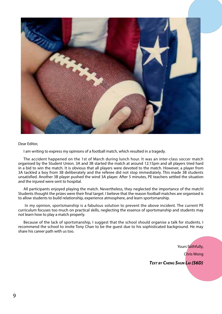

I am writing to express my opinions of a football match, which resulted in a tragedy.

The accident happened on the 1st of March during lunch hour. It was an inter-class soccer match organised by the Student Union. 3A and 3B started the match at around 12:15pm and all players tried hard in a bid to win the match. It is obvious that all players were devoted to the match. However, a player from 3A tackled a boy from 3B deliberately and the referee did not stop immediately. This made 3B students unsatisfied. Another 3B player pushed the wind 3A player. After 5 minutes, PE teachers settled the situation and the injured were sent to hospital.

All participants enjoyed playing the match. Nevertheless, they neglected the importance of the match! Students thought the prizes were their final target. I believe that the reason football matches are organised is to allow students to build relationship, experience atmosphere, and learn sportsmanship.

 In my opinion, sportsmanship is a fabulous solution to prevent the above incident. The current PE curriculum focuses too much on practical skills, neglecting the essence of sportsmanship and students may not learn how to play a match properly.

Because of the lack of sportsmanship, I suggest that the school should organise a talk for students. I recommend the school to invite Tony Chan to be the guest due to his sophisticated background. He may share his career path with us too.

> Yours faithfully, Chris Wong  *Text by Cheng Shun Lai (S6D)*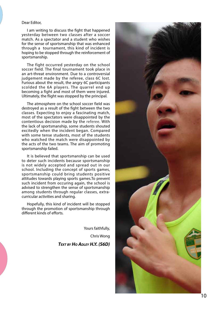I am writing to discuss the fight that happened yesterday between two classes after a soccer match. As a spectator and a student who wishes for the sense of sportsmanship that was enhanced through a tournament, this kind of incident is hoping to be stopped through the reinforcement of sportsmanship.

The fight occurred yesterday on the school soccer field. The final tournament took place in an art-threat environment. Due to a controversial judgement made by the referee, class 6C lost. Furious about the result, the angry 6C participants scolded the 6A players. The quarrel end up becoming a fight and most of them were injured. Ultimately, the flight was stopped by the principal.

The atmosphere on the school soccer field was destroyed as a result of the fight between the two classes. Expecting to enjoy a fascinating match, most of the spectators were disappointed by the contentious decision made by the referee. With the lack of sportsmanship, some students shouted excitedly when the incident began. Compared with some tense students, most of the students who watched the match were disappointed by the acts of the two teams. The aim of promoting sportsmanship failed.

It is believed that sportsmanship can be used to deter such incidents because sportsmanship is not widely accepted and spread out in our school. Including the concept of sports games, sportsmanship could bring students positive attitudes towards playing sports games.To prevent such incident from occuring again, the school is advised to strengthen the sense of sportsmanship among students through regular classes, extracurricular activities and sharing.

Hopefully, this kind of incident will be stopped through the promotion of sportsmanship through different kinds of efforts.

> Yours faithfully, Chris Wong *Tex t by H o Adley H. Y. (S6D)*

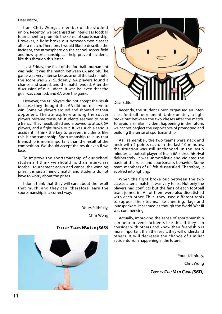I am Chris Wong, a member of the student union. Recently, we organised an inter-class football tournament to promote the sense of sportsmanship. However, a fight broke out between two classes after a match. Therefore, I would like to describe the incident, the atmosphere on the school soccer field and how sportsmanship can help prevent incidents like this through this letter.

 Last Friday, the final of the football tournament was held. It was the match between 6A and 6B. The game was very intense because until the last minute, the score was 2:2. Suddenly, 6A players found a chance and scored, and the match ended. After the discussion of our judges, it was believed that the goal was counted, and 6A won the game.

However, the 6B players did not accept the result because they thought that 6A did not deserve to win. Some 6A players argued and shouted at their opponent. The atmosphere among the soccer players became tense, 6B students seemed to be in a frenzy. They headbutted and elbowed to attack 6A players, and a fight broke out. It was such a serious accident, I think the key to prevent incidents like this is sportsmanship. Sportsmanship tells us that friendship is more important than the result of the competition. We should accept the result even if we lose.

To improve the sportsmanship of our school students, I think we should hold an inter-class football tournament again and cancel the winning prize. It is just a friendly match and students do not have to worry about the prizes .

I don't think that they will care about the result that much, and they can therefore learn the sportsmanship in a correct way.

Yours faithfully,

Chris Wong







Dear Editor,

Recently, the student union organised an interclass football tournament. Unfortunately, a fight broke out between the two classes after the match. To avoid a similar incident happening in the future, we cannot neglect the importance of promoting and building the sense of sportsmanship.

As I remember, the two teams were neck and neck with 2 points each. In the last 10 minutes, the situation was still unchanged. In the last 5 minutes, a football player of team 6A kicked his rival deliberately. It was unmoralistic and violated the basis of the rules and sportsman's behavior. Some team members of 6E felt dissatisfied. Therefore, it evolved into fighting.

When the fight broke out between the two classes after a match, it was very tense. Not only the players had conflicts but the fans of each football team joined in. All of them were also dissatisfied with each other. Thus, they used different tools to support their teams, like cheering, flags and loudspeakers. It seemed as though the World War III was commencing.

Actually, improving the sense of sportsmanship can help prevent incidents like this. If they can consider with others and know their friendship is more important than the result, they will understand others. It will decrease the chance of similiar accidents from happening in the future.

Yours faithfully,

Chris Wong

*Text by Chu Man Chun (S6D)*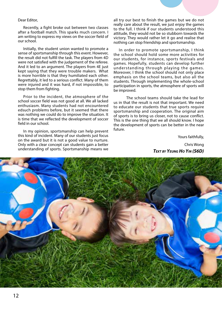Recently, a fight broke out between two classes after a football match. This sparks much concern. I am writing to express my views on the soccer field of our school.

Initially, the student union wanted to promote a sense of sportsmanship through this event. However, the result did not fulfill the task. The players from 4D were not satisfied with the judgement of the referee. And it led to an argument. The players from 4E just kept saying that they were trouble makers. What is more horrible is that they humiliated each other. Regrettably, it led to a serious conflict. Many of them were injured and it was hard, if not impossible, to stop them from fighting.

Prior to the incident, the atmosphere of the school soccer field was not good at all. We all lacked enthusiasm. Many students had not encountered edsuch problems before, but it seemed that there was nothing we could do to improve the situation. It is time that we reflected the development of soccer field in our school.

In my opinion, sportsmanship can help prevent this kind of incident. Many of our students just focus on the award but it is not a good value to nurture. Only with a clear concept can students gain a better understanding of sports. Sportsmanship means we

all try our best to finish the games but we do not really care about the result, we just enjoy the games to the full. I think if our students understood this attitude, they would not be so stubborn towards the victory. They would rather let it go and realise that nothing can stop friendship and sportsmanship.

In order to promote sportsmanship, I think the school should hold some more activities for our students, for instance, sports festivals and games. Hopefully, students can develop further understanding through playing the games. Moreover, I think the school should not only place emphasis on the school teams, but also all the students. Through implementing the whole-school participation in sports, the atmosphere of sports will be improved.

 The school teams should take the lead for us in that the result is not that important. We need to educate our students that true sports require sportsmanship and cooperation. The original aim of sports is to bring us closer, not to cause conflict. This is the one thing that we all should know. I hope the development of sports can be better in the near future.

> Yours faithfully, Chris Wong *Text by Yeung Ho Yin (S6D)*

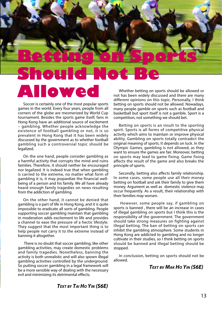

### **ALL**

Soccer is certainly one of the most popular sports games in the world. Every four years, people from all corners of the globe are mesmerized by World Cup tournament. Besides the sports game itself, fans in Hong Kong have an additional source of excitement – gambling. Whether people acknowledge the existence of football gambling or not, it is so prevalent in Hong Kong that it has been widely discussed by the government as to whether football gambling such a controversial topic should be legalized.

On the one hand, people consider gambling as a harmful activity that corrupts the mind and ruins families. Therefore, it should neither be encouraged nor legalized. It is indeed true that when gambling is carried to the extreme, no matter what form of gambling it is, it may jeopardize the financial wellbeing of a person and his family. We all have already heard enough family tragedies on news resulting from the addiction of gambling.

On the other hand, it cannot be denied that gambling is a part of life in Hong Kong, and it is quite impossible to eradicate all sorts of gambling. People supporting soccer gambling maintain that gambling in moderation adds excitement to life and provides a channel to ease the pressure of a hectic lifestyle. They suggest that the most important thing is to help people not carry it to the extreme instead of banning it altogether.

 There is no doubt that soccer gambling, like other gambling activities, may create domestic problems and family tragedies. Nonetheless, banning the activity is both unrealistic and will also spown illegal gambling activities controlled by the underground. So putting soccer gambling in a legal framework will be a more sensible way of dealing with the necessary evil and minimizing its detrimental effects.

Whether betting on sports should be allowed or not has been widely discussed and there are many different opinions on this topic. Personally, I think betting on sports should not be allowed. Nowadays, many people gamble on sports such as football and basketball but sport itself is not a gamble. Sport is a competition, not something we should bet.

Betting on sports is an insult to the sporting spirit. Sports is all forms of competitive physical activity which aims to maintain or improve physical ability. Gambling on sports totally contradict the original meaning of sports. It depends on luck. In the Olympic Games, gambling is not allowed, as they want to ensure the games are fair. Moreover, betting on sports may lead to game fixing. Game fixing affects the result of the game and also breaks the principle of sports.

Secondly, betting also affects family relationship. In some cases, some people use all their money betting on football and ask their family to give them money. Argument as well as domestic violence may occur frequently. As a result, their relationship with their families may worsen.

 However, some people say, if gambling on sports is banned , there will be an increase in cases of illegal gambling on sports but I think this is the responsibility of the government. The government should take strong measures on fighting against illegal betting. The ban of betting on sports can inhibit the gambling atmosphere. Some students in Hong Kong are addicted to gambling and no longer cultivate in their studies, so I think betting on sports should be banned and illegal betting should be stopped.

In conclusion, betting on sports should not be allowed.

#### *Text bv Mak Ho Yin (S6E)*

*Text by Tai Ho Yin (S6E)*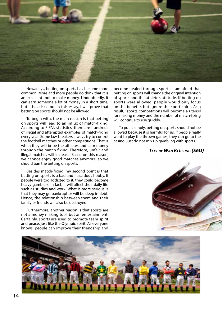

Nowadays, betting on sports has become more common. More and more people do think that it is an excellent tool to make money. Undoubtedly, it can earn someone a lot of money in a short time, but it has risks too. In this essay, I will prove that betting on sports should not be allowed.

To begin with, the main reason is that betting on sports will lead to an influx of match-fixing. According to FIFA's statistics, there are hundreds of illegal and attempted examples of match-fixing every year. Some law-breakers always try to control the football matches or other competitions. That is when they will bribe the athletes and earn money through the match fixing. Therefore, unfair and illegal matches will increase. Based on this reason, we cannot enjoy good matches anymore, so we should ban the betting on sports.

Besides match-fixing, my second point is that betting on sports is a bad and hazardous hobby. If people were too addicted to it, they could become heavy gamblers. In fact, it will affect their daily life such as studies and work. What is more serious is that they may go bankrupt or will be deep in debt. Hence, the relationship between them and their family or friends will also be destroyed.

Furthermore, another reason is that sports are not a money making tool, but an entertainment. Certainly, sports are used to promote team spirit and peace, just like the Olympic spirit. As everyone knows, people can improve their friendship and

become healed through sports. I am afraid that betting on sports will change the original intention of sports and the athlete's attitude. If betting on sports were allowed, people would only focus on the benefits but ignore the sport spirit. As a result, sports competitions will become a utensil for making money and the number of match-fixing will continue to rise quickly.

To put it simply, betting on sports should not be allowed because it is harmful for us. If people really want to play the thrown games, they can go to the casino. Just do not mix up gambling with sports.

#### *Text by Wan Ki Leung (S6D)*



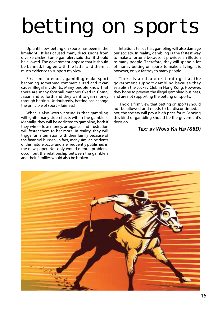# betting on sports

Up until now, betting on sports has been in the limelight. It has caused many discussions from diverse circles. Some gamblers said that it should be allowed. The government oppose that it should be banned. I agree with the latter and there is much evidence to support my view.

First and foremost, gambling make sport becoming something commercialized and it can cause illegal incidents. Many people know that there are many football matches fixed in China, Japan and so forth and they want to gain money through betting. Undoubtedly, betting can change the principle of sport – fairness!

What is also worth noting is that gambling will ignite many side-effects within the gamblers. Mentally, they will be addicted to gambling, both if they win or lose money, arrogance and frustration will foster them to bet more. In reality, they will trigger an alternation with their family because of the financial burden. In fact, many similar incidents of this nature occur and are frequently published in the newspaper. Not only would mental problems occur. but the relationship between the gamblers and their families would also be broken.

Intuitions tell us that gambling will also damage our society. In reality, gambling is the fastest way to make a fortune because it provides an illusion to many people. Therefore, they will spend a lot of money betting on sports to make a living. It is however, only a fantasy to many people.

There is a misunderstanding that the government support gambling because they establish the Jockey Club in Hong Kong. However, they hope to prevent the illegal gambling business, and are not supporting the betting on sports.

 I hold a firm view that betting on sports should not be allowed and needs to be discontinued. If not, the society will pay a high price for it. Banning this kind of gambling should be the goverment's decision.

#### *Text by Wong Ka Hei (S6D)*

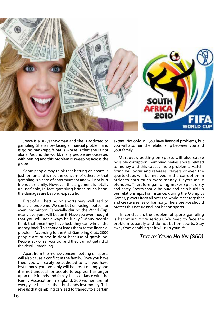

Joyce is a 30-year-woman and she is addicted to gambling. She is now facing a financial problem and is going bankrupt. What is worse is that she is not alone. Around the world, many people are obsessed with betting and this problem is sweeping across the globe.

Some people may think that betting on sports is just for fun and is not the concern of others or that gambling is a corn of entertainment and will not hurt friends or family. However, this argument is totally unjustifiable, In fact, gambling brings much harm, the damages are beyond expectation.

First of all, betting on sports may well lead to financial problems. We can bet on racing, football or even badminton. Especially during the World Cup, nearly everyone will bet on it. Have you ever thought that you will not always be lucky ? Many people think that once they have lost, they can win all the money back. This thought leads them to the financial problem. According to the Anti-Gambling Club, 2000 people are ruined in debt because of gambling. People lack of self-control and they cannot get rid of the devil – gambling.

Apart from the money concern, betting on sports will also cause a conflict in the family. Once you have tried, you will easily be addicted to it. If you have lost money, you probably will be upset or angry and it is not unusual for people to express this anger upon their friends and family. In accordance with the Family Association in England, 200 women are hit every year because their husbands lost money. This reveals that gambling can lead to tragedy to a certain

extent. Not only will you have financial problems, but you will also ruin the relationship between you and your family.

Moreover, betting on sports will also cause possible corruption. Gambling makes sports related to money and this causes more problems. Matchfixing will occur and referees, players or even the sports clubs will be involved in the corruption in order to earn much more money. Players make blunders. Therefore gambling makes sport dirty and nasty. Sports should be pure and help build up our relationships. For instance, during the Olympics Games, players from all over the world meet together and create a sense of harmony. Therefore ,we should protect this nature and, not bet on sports.

 In conclusion, the problem of sports gambling is becoming more serious. We need to face the problem squarely and do not bet on sports. Stay away from gambling as it will ruin your life.

#### *Text by Yeung Ho Yin (S6D)*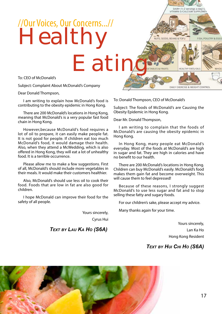### Healthy //Our Voices, Our Concerns...//

DAIRY (1-2 servings a day) Q.<br>VITAMIN D/CALCIUM SUPPLEMEN

HEALTHY FATS/OILS

DAILY EXERCISE & WEIGHT CONTROL

FISH, POULTRY & EGG

**WHO!** 

NUTS, SEEDS, BEANS & TOFU

To: CEO of McDonald's

Subject: Complaint About McDonald's Company

Dear Donald Thompson,

I am writing to explain how McDonald's food is contributing to the obesity epidemic in Hong Kong.

There are 200 McDonald's locations in Hong Kong, meaning that McDonald's is a very popular fast food chain in Hong Kong.

However,because McDonald's food requires a lot of oil to prepare, it can easily make people fat. It is not good for people. If children eat too much McDonald's food, it would damage their health. Also, when they attend a McWedding, which is also offered in Hong Kong, they will eat a lot of unhealthy food. It is a terrible occurrence.

Please allow me to make a few suggestions. First of all, McDonald's should include more vegetables in their meals. It would make their customers healthier.

Also, McDonald's should use less oil to cook their food. Foods that are low in fat are also good for children.

I hope McDonald can improve their food for the safety of all people.

> Yours sincerely, Cyrus Hui

*Text by Lau Ka Ho (S6A)*

To: Donald Thompson, CEO of McDonald's

Subject: The foods of McDonald's are Causing the Obesity Epidemic in Hong Kong.

Dear Mr. Donald Thompson,

**Eating** 

I am writing to complain that the foods of McDonald's are causing the obesity epidemic in Hong Kong.

In Hong Kong, many people eat McDonald's everyday. Most of the foods at McDonald's are high in sugar and fat. They are high in calories and have no benefit to our health.

There are 200 McDonald's locations in Hong Kong. Children can buy McDonald's easily. McDonald's food makes them gain fat and become overweight. This will cause them to feel depressed!

Because of these reasons, I strongly suggest McDonald's to use less sugar and fat and to stop selling these fatty and sugary foods.

For our children's sake, please accept my advice.

Many thanks again for your time.

Yours sincerely, Lan Ka Ho Hong Kong Resident

#### *Text by Hui Chi Ho (S6A)*